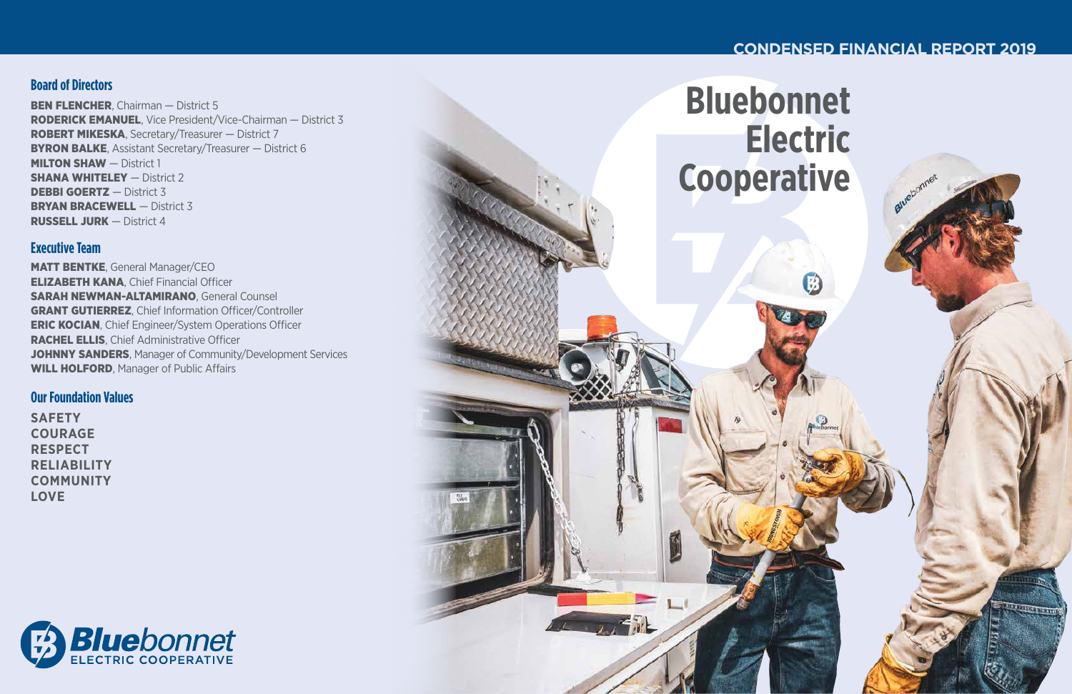**Electric**



# **Board of Directors**

BEN FLENCHER, Chairman - District 5 RODERICK EMANUEL, Vice President/Vice-Chairman — District 3 ROBERT MIKESKA, Secretary/Treasurer — District 7 **BYRON BALKE, Assistant Secretary/Treasurer – District 6 MILTON SHAW** - District 1 **SHANA WHITELEY** - District 2 **DEBBI GOERTZ** – District 3 **BRYAN BRACEWELL** - District 3 RUSSELL JURK — District 4

MATT BENTKE, General Manager/CEO ELIZABETH KANA, Chief Financial Officer SARAH NEWMAN-ALTAMIRANO, General Counsel GRANT GUTIERREZ, Chief Information Officer/Controller ERIC KOCIAN, Chief Engineer/System Operations Officer RACHEL ELLIS, Chief Administrative Officer JOHNNY SANDERS, Manager of Community/Development Services WILL HOLFORD, Manager of Public Affairs

# **Executive Team**

## **Our Foundation Values**

**SAFETY COURAGE RESPECT RELIABILITY COMMUNITY LOVE**



# **CONDENSED FINANCIAL REPORT 2019**